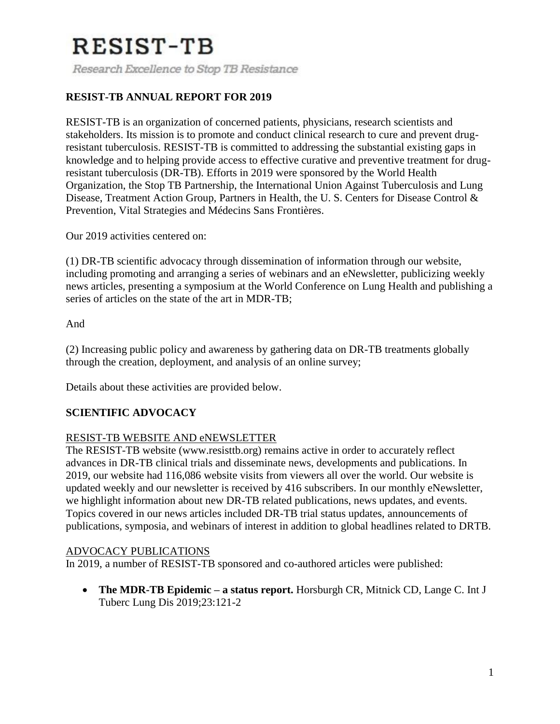Research Excellence to Stop TB Resistance

### **RESIST-TB ANNUAL REPORT FOR 2019**

RESIST-TB is an organization of concerned patients, physicians, research scientists and stakeholders. Its mission is to promote and conduct clinical research to cure and prevent drugresistant tuberculosis. RESIST-TB is committed to addressing the substantial existing gaps in knowledge and to helping provide access to effective curative and preventive treatment for drugresistant tuberculosis (DR-TB). Efforts in 2019 were sponsored by the World Health Organization, the Stop TB Partnership, the International Union Against Tuberculosis and Lung Disease, Treatment Action Group, Partners in Health, the U. S. Centers for Disease Control & Prevention, Vital Strategies and Médecins Sans Frontières.

Our 2019 activities centered on:

(1) DR-TB scientific advocacy through dissemination of information through our website, including promoting and arranging a series of webinars and an eNewsletter, publicizing weekly news articles, presenting a symposium at the World Conference on Lung Health and publishing a series of articles on the state of the art in MDR-TB;

And

(2) Increasing public policy and awareness by gathering data on DR-TB treatments globally through the creation, deployment, and analysis of an online survey;

Details about these activities are provided below.

#### **SCIENTIFIC ADVOCACY**

#### RESIST-TB WEBSITE AND eNEWSLETTER

The RESIST-TB website (www.resisttb.org) remains active in order to accurately reflect advances in DR-TB clinical trials and disseminate news, developments and publications. In 2019, our website had 116,086 website visits from viewers all over the world. Our website is updated weekly and our newsletter is received by 416 subscribers. In our monthly eNewsletter, we highlight information about new DR-TB related publications, news updates, and events. Topics covered in our news articles included DR-TB trial status updates, announcements of publications, symposia, and webinars of interest in addition to global headlines related to DRTB.

#### ADVOCACY PUBLICATIONS

In 2019, a number of RESIST-TB sponsored and co-authored articles were published:

 **The MDR-TB Epidemic – a status report.** Horsburgh CR, Mitnick CD, Lange C. Int J Tuberc Lung Dis 2019;23:121-2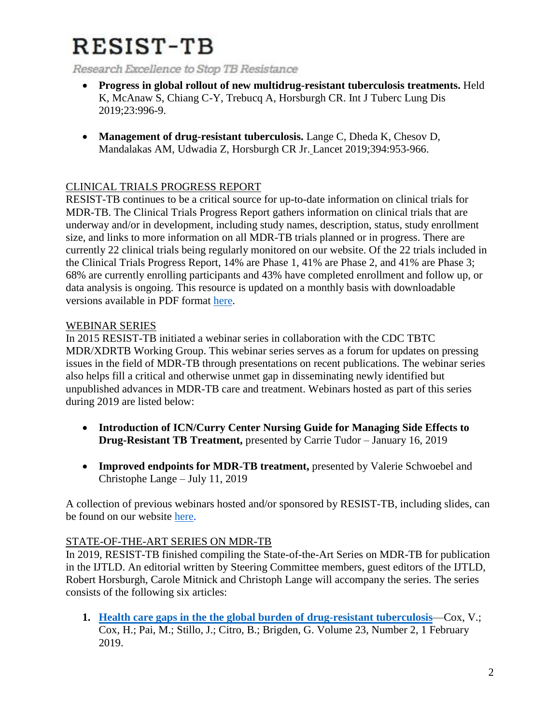Research Excellence to Stop TB Resistance

- **Progress in global rollout of new multidrug-resistant tuberculosis treatments.** Held K, McAnaw S, Chiang C-Y, Trebucq A, Horsburgh CR. Int J Tuberc Lung Dis 2019;23:996-9.
- **[Management of drug-resistant tuberculosis.](about:blank)** Lange C, Dheda K, Chesov D, Mandalakas AM, Udwadia Z, Horsburgh CR Jr. Lancet 2019;394:953-966.

### CLINICAL TRIALS PROGRESS REPORT

RESIST-TB continues to be a critical source for up-to-date information on clinical trials for MDR-TB. The Clinical Trials Progress Report gathers information on clinical trials that are underway and/or in development, including study names, description, status, study enrollment size, and links to more information on all MDR-TB trials planned or in progress. There are currently 22 clinical trials being regularly monitored on our website. Of the 22 trials included in the Clinical Trials Progress Report, 14% are Phase 1, 41% are Phase 2, and 41% are Phase 3; 68% are currently enrolling participants and 43% have completed enrollment and follow up, or data analysis is ongoing. This resource is updated on a monthly basis with downloadable versions available in PDF format [here.](about:blank)

#### WEBINAR SERIES

In 2015 RESIST-TB initiated a webinar series in collaboration with the CDC TBTC MDR/XDRTB Working Group. This webinar series serves as a forum for updates on pressing issues in the field of MDR-TB through presentations on recent publications. The webinar series also helps fill a critical and otherwise unmet gap in disseminating newly identified but unpublished advances in MDR-TB care and treatment. Webinars hosted as part of this series during 2019 are listed below:

- **Introduction of ICN/Curry Center Nursing Guide for Managing Side Effects to Drug-Resistant TB Treatment,** presented by Carrie Tudor – January 16, 2019
- **Improved endpoints for MDR-TB treatment,** presented by Valerie Schwoebel and Christophe Lange – July 11, 2019

A collection of previous webinars hosted and/or sponsored by RESIST-TB, including slides, can be found on our website [here.](about:blank)

#### STATE-OF-THE-ART SERIES ON MDR-TB

In 2019, RESIST-TB finished compiling the State-of-the-Art Series on MDR-TB for publication in the IJTLD. An editorial written by Steering Committee members, guest editors of the IJTLD, Robert Horsburgh, Carole Mitnick and Christoph Lange will accompany the series. The series consists of the following six articles:

**1. Health care gaps in the [the global burden of drug-resistant tuberculosis](about:blank)**—Cox, V.; Cox, H.; Pai, M.; Stillo, J.; Citro, B.; Brigden, G. Volume 23, Number 2, 1 February 2019.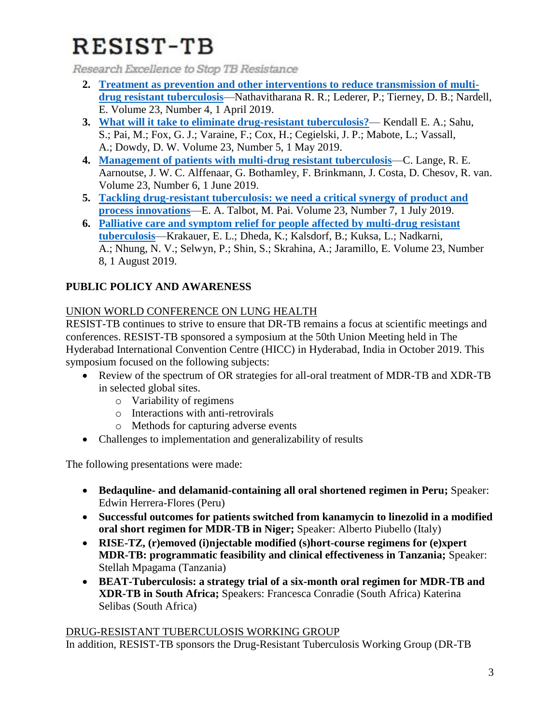Research Excellence to Stop TB Resistance

- **2. [Treatment as prevention and other interventions to reduce transmission of multi](about:blank)[drug resistant tuberculosis](about:blank)**—Nathavitharana R. R.; Lederer, P.; Tierney, D. B.; Nardell, E. Volume 23, Number 4, 1 April 2019.
- **3. [What will it take to eliminate drug-resistant tuberculosis?](about:blank)** Kendall E. A.; Sahu, S.; Pai, M.; Fox, G. J.; Varaine, F.; Cox, H.; Cegielski, J. P.; Mabote, L.; Vassall, A.; Dowdy, D. W. Volume 23, Number 5, 1 May 2019.
- **4. [Management of patients with multi-drug resistant tuberculosis](about:blank)**—C. Lange, R. E. Aarnoutse, J. W. C. Alffenaar, G. Bothamley, F. Brinkmann, J. Costa, D. Chesov, R. van. Volume 23, Number 6, 1 June 2019.
- **5. [Tackling drug-resistant tuberculosis: we need a critical synergy of product and](about:blank)  [process innovations](about:blank)**—E. A. Talbot, M. Pai. Volume 23, Number 7, 1 July 2019.
- **6. [Palliative care and symptom relief for people affected by multi-drug resistant](about:blank)  [tuberculosis](about:blank)**—Krakauer, E. L.; Dheda, K.; Kalsdorf, B.; Kuksa, L.; Nadkarni, A.; Nhung, N. V.; Selwyn, P.; Shin, S.; Skrahina, A.; Jaramillo, E. Volume 23, Number 8, 1 August 2019.

## **PUBLIC POLICY AND AWARENESS**

## UNION WORLD CONFERENCE ON LUNG HEALTH

RESIST-TB continues to strive to ensure that DR-TB remains a focus at scientific meetings and conferences. RESIST-TB sponsored a symposium at the 50th Union Meeting held in The Hyderabad International Convention Centre (HICC) in Hyderabad, India in October 2019. This symposium focused on the following subjects:

- Review of the spectrum of OR strategies for all-oral treatment of MDR-TB and XDR-TB in selected global sites.
	- o Variability of regimens
	- o Interactions with anti-retrovirals
	- o Methods for capturing adverse events
- Challenges to implementation and generalizability of results

The following presentations were made:

- **Bedaquline- and delamanid-containing all oral shortened regimen in Peru;** Speaker: Edwin Herrera-Flores (Peru)
- **Successful outcomes for patients switched from kanamycin to linezolid in a modified oral short regimen for MDR-TB in Niger;** Speaker: Alberto Piubello (Italy)
- **RISE-TZ, (r)emoved (i)njectable modified (s)hort-course regimens for (e)xpert MDR-TB: programmatic feasibility and clinical effectiveness in Tanzania;** Speaker: Stellah Mpagama (Tanzania)
- **BEAT-Tuberculosis: a strategy trial of a six-month oral regimen for MDR-TB and XDR-TB in South Africa;** Speakers: Francesca Conradie (South Africa) Katerina Selibas (South Africa)

### DRUG-RESISTANT TUBERCULOSIS WORKING GROUP

In addition, RESIST-TB sponsors the Drug-Resistant Tuberculosis Working Group (DR-TB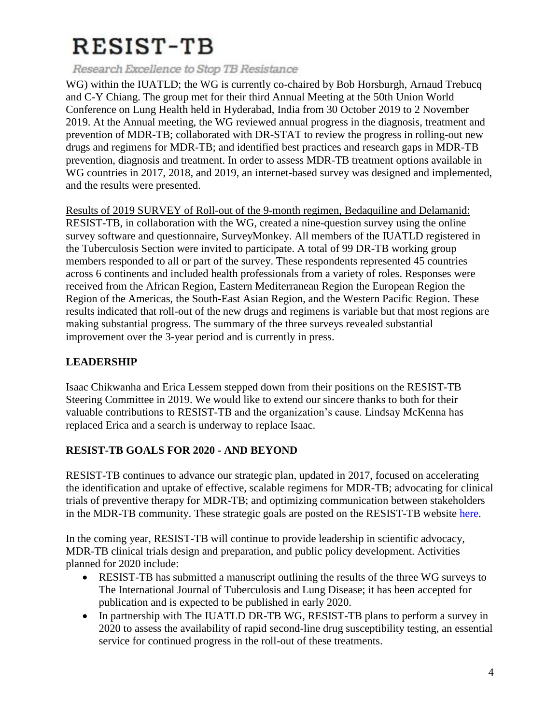Research Excellence to Stop TB Resistance

WG) within the IUATLD; the WG is currently co-chaired by Bob Horsburgh, Arnaud Trebucq and C-Y Chiang. The group met for their third Annual Meeting at the 50th Union World Conference on Lung Health held in Hyderabad, India from 30 October 2019 to 2 November 2019. At the Annual meeting, the WG reviewed annual progress in the diagnosis, treatment and prevention of MDR-TB; collaborated with DR-STAT to review the progress in rolling-out new drugs and regimens for MDR-TB; and identified best practices and research gaps in MDR-TB prevention, diagnosis and treatment. In order to assess MDR-TB treatment options available in WG countries in 2017, 2018, and 2019, an internet-based survey was designed and implemented, and the results were presented.

Results of 2019 SURVEY of Roll-out of the 9-month regimen, Bedaquiline and Delamanid: RESIST-TB, in collaboration with the WG, created a nine-question survey using the online survey software and questionnaire, SurveyMonkey. All members of the IUATLD registered in the Tuberculosis Section were invited to participate. A total of 99 DR-TB working group members responded to all or part of the survey. These respondents represented 45 countries across 6 continents and included health professionals from a variety of roles. Responses were received from the African Region, Eastern Mediterranean Region the European Region the Region of the Americas, the South-East Asian Region, and the Western Pacific Region. These results indicated that roll-out of the new drugs and regimens is variable but that most regions are making substantial progress. The summary of the three surveys revealed substantial improvement over the 3-year period and is currently in press.

### **LEADERSHIP**

Isaac Chikwanha and Erica Lessem stepped down from their positions on the RESIST-TB Steering Committee in 2019. We would like to extend our sincere thanks to both for their valuable contributions to RESIST-TB and the organization's cause. Lindsay McKenna has replaced Erica and a search is underway to replace Isaac.

### **RESIST-TB GOALS FOR 2020 - AND BEYOND**

RESIST-TB continues to advance our strategic plan, updated in 2017, focused on accelerating the identification and uptake of effective, scalable regimens for MDR-TB; advocating for clinical trials of preventive therapy for MDR-TB; and optimizing communication between stakeholders in the MDR-TB community. These strategic goals are posted on the RESIST-TB website here.

In the coming year, RESIST-TB will continue to provide leadership in scientific advocacy, MDR-TB clinical trials design and preparation, and public policy development. Activities planned for 2020 include:

- RESIST-TB has submitted a manuscript outlining the results of the three WG surveys to The International Journal of Tuberculosis and Lung Disease; it has been accepted for publication and is expected to be published in early 2020.
- In partnership with The IUATLD DR-TB WG, RESIST-TB plans to perform a survey in 2020 to assess the availability of rapid second-line drug susceptibility testing, an essential service for continued progress in the roll-out of these treatments.